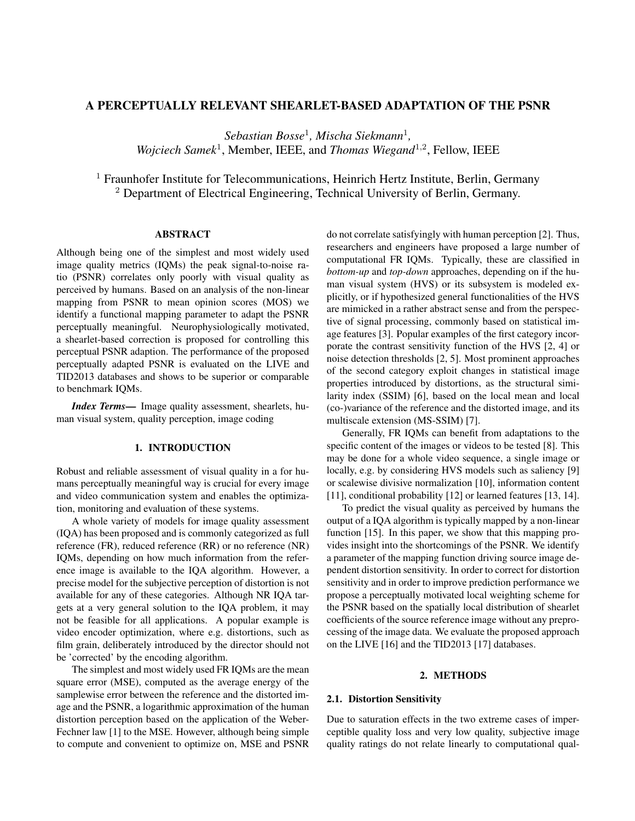# A PERCEPTUALLY RELEVANT SHEARLET-BASED ADAPTATION OF THE PSNR

*Sebastian Bosse*<sup>1</sup> *, Mischa Siekmann*<sup>1</sup> *,* Wojciech Samek<sup>1</sup>, Member, IEEE, and *Thomas Wiegand*<sup>1,2</sup>, Fellow, IEEE

<sup>1</sup> Fraunhofer Institute for Telecommunications, Heinrich Hertz Institute, Berlin, Germany <sup>2</sup> Department of Electrical Engineering, Technical University of Berlin, Germany.

# ABSTRACT

Although being one of the simplest and most widely used image quality metrics (IQMs) the peak signal-to-noise ratio (PSNR) correlates only poorly with visual quality as perceived by humans. Based on an analysis of the non-linear mapping from PSNR to mean opinion scores (MOS) we identify a functional mapping parameter to adapt the PSNR perceptually meaningful. Neurophysiologically motivated, a shearlet-based correction is proposed for controlling this perceptual PSNR adaption. The performance of the proposed perceptually adapted PSNR is evaluated on the LIVE and TID2013 databases and shows to be superior or comparable to benchmark IQMs.

*Index Terms*— Image quality assessment, shearlets, human visual system, quality perception, image coding

### 1. INTRODUCTION

Robust and reliable assessment of visual quality in a for humans perceptually meaningful way is crucial for every image and video communication system and enables the optimization, monitoring and evaluation of these systems.

A whole variety of models for image quality assessment (IQA) has been proposed and is commonly categorized as full reference (FR), reduced reference (RR) or no reference (NR) IQMs, depending on how much information from the reference image is available to the IQA algorithm. However, a precise model for the subjective perception of distortion is not available for any of these categories. Although NR IQA targets at a very general solution to the IQA problem, it may not be feasible for all applications. A popular example is video encoder optimization, where e.g. distortions, such as film grain, deliberately introduced by the director should not be 'corrected' by the encoding algorithm.

The simplest and most widely used FR IQMs are the mean square error (MSE), computed as the average energy of the samplewise error between the reference and the distorted image and the PSNR, a logarithmic approximation of the human distortion perception based on the application of the Weber-Fechner law [1] to the MSE. However, although being simple to compute and convenient to optimize on, MSE and PSNR

do not correlate satisfyingly with human perception [2]. Thus, researchers and engineers have proposed a large number of computational FR IQMs. Typically, these are classified in *bottom-up* and *top-down* approaches, depending on if the human visual system (HVS) or its subsystem is modeled explicitly, or if hypothesized general functionalities of the HVS are mimicked in a rather abstract sense and from the perspective of signal processing, commonly based on statistical image features [3]. Popular examples of the first category incorporate the contrast sensitivity function of the HVS [2, 4] or noise detection thresholds [2, 5]. Most prominent approaches of the second category exploit changes in statistical image properties introduced by distortions, as the structural similarity index (SSIM) [6], based on the local mean and local (co-)variance of the reference and the distorted image, and its multiscale extension (MS-SSIM) [7].

Generally, FR IQMs can benefit from adaptations to the specific content of the images or videos to be tested [8]. This may be done for a whole video sequence, a single image or locally, e.g. by considering HVS models such as saliency [9] or scalewise divisive normalization [10], information content [11], conditional probability [12] or learned features [13, 14].

To predict the visual quality as perceived by humans the output of a IQA algorithm is typically mapped by a non-linear function [15]. In this paper, we show that this mapping provides insight into the shortcomings of the PSNR. We identify a parameter of the mapping function driving source image dependent distortion sensitivity. In order to correct for distortion sensitivity and in order to improve prediction performance we propose a perceptually motivated local weighting scheme for the PSNR based on the spatially local distribution of shearlet coefficients of the source reference image without any preprocessing of the image data. We evaluate the proposed approach on the LIVE [16] and the TID2013 [17] databases.

#### 2. METHODS

### 2.1. Distortion Sensitivity

Due to saturation effects in the two extreme cases of imperceptible quality loss and very low quality, subjective image quality ratings do not relate linearly to computational qual-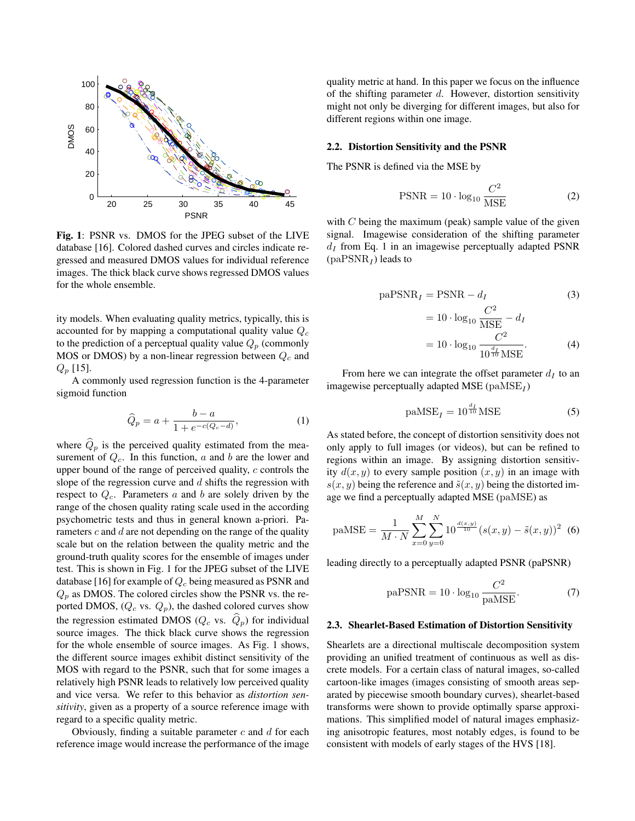

Fig. 1: PSNR vs. DMOS for the JPEG subset of the LIVE database [16]. Colored dashed curves and circles indicate regressed and measured DMOS values for individual reference images. The thick black curve shows regressed DMOS values for the whole ensemble.

ity models. When evaluating quality metrics, typically, this is accounted for by mapping a computational quality value  $Q_c$ to the prediction of a perceptual quality value  $Q_p$  (commonly MOS or DMOS) by a non-linear regression between  $Q_c$  and  $Q_p$  [15].

A commonly used regression function is the 4-parameter sigmoid function

$$
\widehat{Q}_p = a + \frac{b - a}{1 + e^{-c(Q_c - d)}},\tag{1}
$$

where  $\hat{Q}_p$  is the perceived quality estimated from the measurement of  $Q_c$ . In this function, a and b are the lower and upper bound of the range of perceived quality,  $c$  controls the slope of the regression curve and  $d$  shifts the regression with respect to  $Q_c$ . Parameters a and b are solely driven by the range of the chosen quality rating scale used in the according psychometric tests and thus in general known a-priori. Parameters  $c$  and  $d$  are not depending on the range of the quality scale but on the relation between the quality metric and the ground-truth quality scores for the ensemble of images under test. This is shown in Fig. 1 for the JPEG subset of the LIVE database [16] for example of  $Q_c$  being measured as PSNR and  $Q_p$  as DMOS. The colored circles show the PSNR vs. the reported DMOS,  $(Q_c \text{ vs. } Q_p)$ , the dashed colored curves show the regression estimated DMOS ( $Q_c$  vs.  $\hat{Q}_p$ ) for individual source images. The thick black curve shows the regression for the whole ensemble of source images. As Fig. 1 shows, the different source images exhibit distinct sensitivity of the MOS with regard to the PSNR, such that for some images a relatively high PSNR leads to relatively low perceived quality and vice versa. We refer to this behavior as *distortion sensitivity*, given as a property of a source reference image with regard to a specific quality metric.

Obviously, finding a suitable parameter  $c$  and  $d$  for each reference image would increase the performance of the image quality metric at hand. In this paper we focus on the influence of the shifting parameter  $d$ . However, distortion sensitivity might not only be diverging for different images, but also for different regions within one image.

#### 2.2. Distortion Sensitivity and the PSNR

The PSNR is defined via the MSE by

$$
PSNR = 10 \cdot \log_{10} \frac{C^2}{MSE}
$$
 (2)

with  $C$  being the maximum (peak) sample value of the given signal. Imagewise consideration of the shifting parameter  $d_I$  from Eq. 1 in an imagewise perceptually adapted PSNR  $\rm (paPSNR_{\mathcal{I}})$  leads to

$$
paPSNRI = PSNR - dI \t(3)
$$
  
= 10 · log<sub>10</sub>  $\frac{C^2}{MSE} - dI$   
= 10 · log<sub>10</sub>  $\frac{C^2}{10^{\frac{d_I}{10}MSE}}$ . (4)

From here we can integrate the offset parameter  $d<sub>I</sub>$  to an imagewise perceptually adapted MSE ( $\text{p}$ aMSE<sub>I</sub>)

$$
p\text{aMSE}_I = 10^{\frac{d_I}{10}}\text{MSE} \tag{5}
$$

As stated before, the concept of distortion sensitivity does not only apply to full images (or videos), but can be refined to regions within an image. By assigning distortion sensitivity  $d(x, y)$  to every sample position  $(x, y)$  in an image with  $s(x, y)$  being the reference and  $\tilde{s}(x, y)$  being the distorted image we find a perceptually adapted MSE (paMSE) as

$$
p\text{aMSE} = \frac{1}{M \cdot N} \sum_{x=0}^{M} \sum_{y=0}^{N} 10^{\frac{d(x,y)}{10}} (s(x,y) - \tilde{s}(x,y))^2
$$
 (6)

leading directly to a perceptually adapted PSNR (paPSNR)

$$
paPSNR = 10 \cdot \log_{10} \frac{C^2}{paMSE}.
$$
 (7)

#### 2.3. Shearlet-Based Estimation of Distortion Sensitivity

Shearlets are a directional multiscale decomposition system providing an unified treatment of continuous as well as discrete models. For a certain class of natural images, so-called cartoon-like images (images consisting of smooth areas separated by piecewise smooth boundary curves), shearlet-based transforms were shown to provide optimally sparse approximations. This simplified model of natural images emphasizing anisotropic features, most notably edges, is found to be consistent with models of early stages of the HVS [18].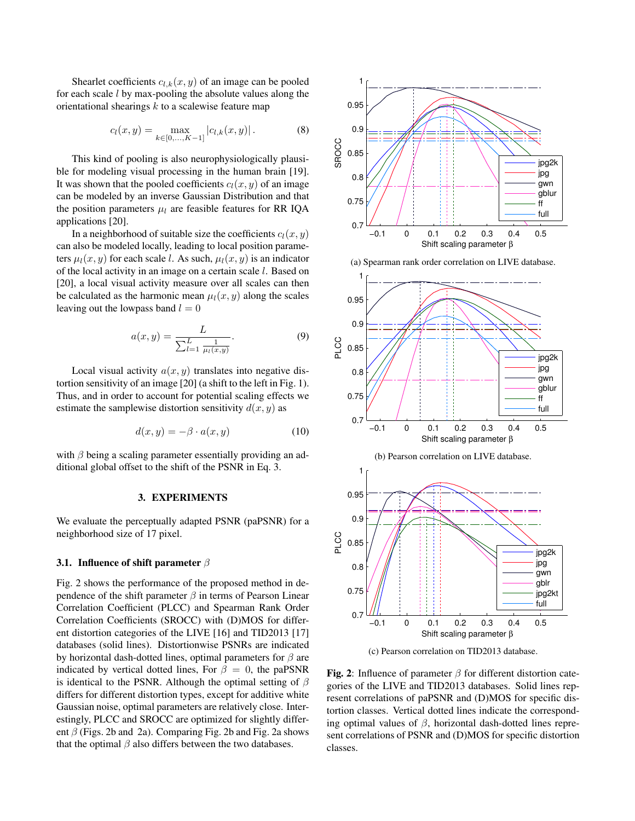Shearlet coefficients  $c_{l,k}(x, y)$  of an image can be pooled for each scale  $l$  by max-pooling the absolute values along the orientational shearings  $k$  to a scalewise feature map

$$
c_l(x,y) = \max_{k \in [0,\ldots,K-1]} |c_{l,k}(x,y)|.
$$
 (8)

This kind of pooling is also neurophysiologically plausible for modeling visual processing in the human brain [19]. It was shown that the pooled coefficients  $c_l(x, y)$  of an image can be modeled by an inverse Gaussian Distribution and that the position parameters  $\mu_l$  are feasible features for RR IQA applications [20].

In a neighborhood of suitable size the coefficients  $c_l(x, y)$ can also be modeled locally, leading to local position parameters  $\mu_l(x, y)$  for each scale l. As such,  $\mu_l(x, y)$  is an indicator of the local activity in an image on a certain scale l. Based on [20], a local visual activity measure over all scales can then be calculated as the harmonic mean  $\mu_l(x, y)$  along the scales leaving out the lowpass band  $l = 0$ 

$$
a(x,y) = \frac{L}{\sum_{l=1}^{L} \frac{1}{\mu_l(x,y)}}.
$$
 (9)

Local visual activity  $a(x, y)$  translates into negative distortion sensitivity of an image [20] (a shift to the left in Fig. 1). Thus, and in order to account for potential scaling effects we estimate the samplewise distortion sensitivity  $d(x, y)$  as

$$
d(x, y) = -\beta \cdot a(x, y) \tag{10}
$$

with  $\beta$  being a scaling parameter essentially providing an additional global offset to the shift of the PSNR in Eq. 3.

### 3. EXPERIMENTS

We evaluate the perceptually adapted PSNR (paPSNR) for a neighborhood size of 17 pixel.

#### 3.1. Influence of shift parameter  $\beta$

Fig. 2 shows the performance of the proposed method in dependence of the shift parameter  $\beta$  in terms of Pearson Linear Correlation Coefficient (PLCC) and Spearman Rank Order Correlation Coefficients (SROCC) with (D)MOS for different distortion categories of the LIVE [16] and TID2013 [17] databases (solid lines). Distortionwise PSNRs are indicated by horizontal dash-dotted lines, optimal parameters for  $\beta$  are indicated by vertical dotted lines, For  $\beta = 0$ , the paPSNR is identical to the PSNR. Although the optimal setting of  $\beta$ differs for different distortion types, except for additive white Gaussian noise, optimal parameters are relatively close. Interestingly, PLCC and SROCC are optimized for slightly different  $\beta$  (Figs. 2b and 2a). Comparing Fig. 2b and Fig. 2a shows that the optimal  $\beta$  also differs between the two databases.







(c) Pearson correlation on TID2013 database.

Fig. 2: Influence of parameter  $\beta$  for different distortion categories of the LIVE and TID2013 databases. Solid lines represent correlations of paPSNR and (D)MOS for specific distortion classes. Vertical dotted lines indicate the corresponding optimal values of  $\beta$ , horizontal dash-dotted lines represent correlations of PSNR and (D)MOS for specific distortion classes.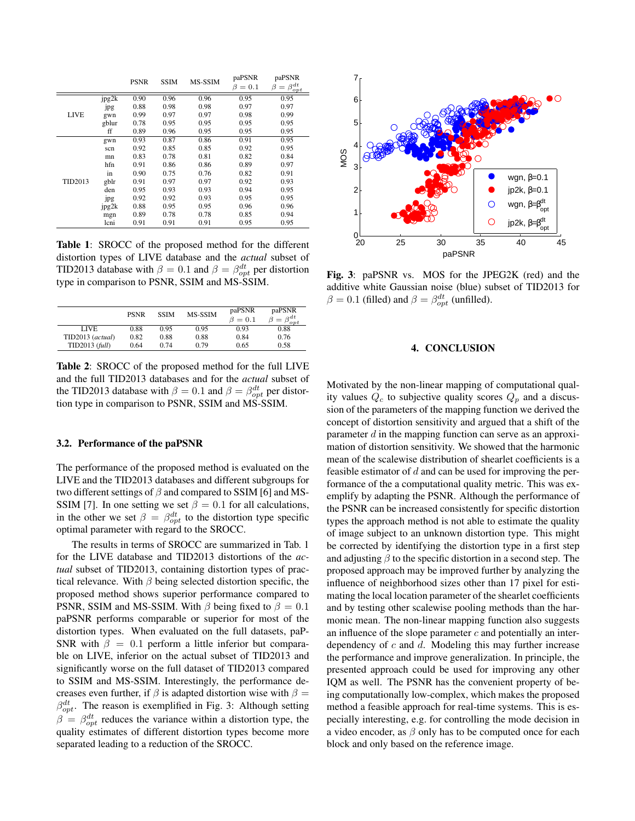|             |       | <b>PSNR</b> | <b>SSIM</b> | MS-SSIM | paPSNR<br>$= 0.1$<br>ß | paPSNR<br>- $\beta^{dt}$<br>Β<br>$=$<br>opt |
|-------------|-------|-------------|-------------|---------|------------------------|---------------------------------------------|
| <b>LIVE</b> | jpg2k | 0.90        | 0.96        | 0.96    | 0.95                   | 0.95                                        |
|             | .jpg  | 0.88        | 0.98        | 0.98    | 0.97                   | 0.97                                        |
|             | gwn   | 0.99        | 0.97        | 0.97    | 0.98                   | 0.99                                        |
|             | gblur | 0.78        | 0.95        | 0.95    | 0.95                   | 0.95                                        |
|             | ff    | 0.89        | 0.96        | 0.95    | 0.95                   | 0.95                                        |
| TID2013     | gwn   | 0.93        | 0.87        | 0.86    | 0.91                   | 0.95                                        |
|             | scn   | 0.92        | 0.85        | 0.85    | 0.92                   | 0.95                                        |
|             | mn    | 0.83        | 0.78        | 0.81    | 0.82                   | 0.84                                        |
|             | hfn   | 0.91        | 0.86        | 0.86    | 0.89                   | 0.97                                        |
|             | in    | 0.90        | 0.75        | 0.76    | 0.82                   | 0.91                                        |
|             | gblr  | 0.91        | 0.97        | 0.97    | 0.92                   | 0.93                                        |
|             | den   | 0.95        | 0.93        | 0.93    | 0.94                   | 0.95                                        |
|             | jpg   | 0.92        | 0.92        | 0.93    | 0.95                   | 0.95                                        |
|             | jpg2k | 0.88        | 0.95        | 0.95    | 0.96                   | 0.96                                        |
|             | mgn   | 0.89        | 0.78        | 0.78    | 0.85                   | 0.94                                        |
|             | lcni  | 0.91        | 0.91        | 0.91    | 0.95                   | 0.95                                        |

Table 1: SROCC of the proposed method for the different distortion types of LIVE database and the *actual* subset of TID2013 database with  $\beta = 0.1$  and  $\beta = \beta_{opt}^{dt}$  per distortion type in comparison to PSNR, SSIM and MS-SSIM.

|                  | <b>PSNR</b> | <b>SSIM</b> | <b>MS-SSIM</b> | paPSNR<br>$\beta = 0.1$ | paPSNR<br>$\beta = \beta_{opt}^{dt}$ |
|------------------|-------------|-------------|----------------|-------------------------|--------------------------------------|
| LIVE             | 0.88        | 0.95        | 0.95           | 0.93                    | 0.88                                 |
| TID2013 (actual) | 0.82        | 0.88        | 0.88           | 0.84                    | 0.76                                 |
| $TID2013$ (full) | 0.64        | 0.74        | 0.79           | 0.65                    | 0.58                                 |

Table 2: SROCC of the proposed method for the full LIVE and the full TID2013 databases and for the *actual* subset of the TID2013 database with  $\beta = 0.1$  and  $\beta = \beta_{opt}^{dt}$  per distortion type in comparison to PSNR, SSIM and MS-SSIM.

## 3.2. Performance of the paPSNR

The performance of the proposed method is evaluated on the LIVE and the TID2013 databases and different subgroups for two different settings of  $\beta$  and compared to SSIM [6] and MS-SSIM [7]. In one setting we set  $\beta = 0.1$  for all calculations, in the other we set  $\beta = \beta_{opt}^{dt}$  to the distortion type specific optimal parameter with regard to the SROCC.

The results in terms of SROCC are summarized in Tab. 1 for the LIVE database and TID2013 distortions of the *actual* subset of TID2013, containing distortion types of practical relevance. With  $\beta$  being selected distortion specific, the proposed method shows superior performance compared to PSNR, SSIM and MS-SSIM. With  $\beta$  being fixed to  $\beta = 0.1$ paPSNR performs comparable or superior for most of the distortion types. When evaluated on the full datasets, paP-SNR with  $\beta = 0.1$  perform a little inferior but comparable on LIVE, inferior on the actual subset of TID2013 and significantly worse on the full dataset of TID2013 compared to SSIM and MS-SSIM. Interestingly, the performance decreases even further, if  $\beta$  is adapted distortion wise with  $\beta =$  $\beta_{opt}^{dt}$ . The reason is exemplified in Fig. 3: Although setting  $\beta = \beta_{opt}^{dt}$  reduces the variance within a distortion type, the quality estimates of different distortion types become more separated leading to a reduction of the SROCC.



Fig. 3: paPSNR vs. MOS for the JPEG2K (red) and the additive white Gaussian noise (blue) subset of TID2013 for  $\beta = 0.1$  (filled) and  $\beta = \beta_{opt}^{dt}$  (unfilled).

# 4. CONCLUSION

Motivated by the non-linear mapping of computational quality values  $Q_c$  to subjective quality scores  $Q_p$  and a discussion of the parameters of the mapping function we derived the concept of distortion sensitivity and argued that a shift of the parameter  $d$  in the mapping function can serve as an approximation of distortion sensitivity. We showed that the harmonic mean of the scalewise distribution of shearlet coefficients is a feasible estimator of  $d$  and can be used for improving the performance of the a computational quality metric. This was exemplify by adapting the PSNR. Although the performance of the PSNR can be increased consistently for specific distortion types the approach method is not able to estimate the quality of image subject to an unknown distortion type. This might be corrected by identifying the distortion type in a first step and adjusting  $\beta$  to the specific distortion in a second step. The proposed approach may be improved further by analyzing the influence of neighborhood sizes other than 17 pixel for estimating the local location parameter of the shearlet coefficients and by testing other scalewise pooling methods than the harmonic mean. The non-linear mapping function also suggests an influence of the slope parameter  $c$  and potentially an interdependency of  $c$  and  $d$ . Modeling this may further increase the performance and improve generalization. In principle, the presented approach could be used for improving any other IQM as well. The PSNR has the convenient property of being computationally low-complex, which makes the proposed method a feasible approach for real-time systems. This is especially interesting, e.g. for controlling the mode decision in a video encoder, as  $\beta$  only has to be computed once for each block and only based on the reference image.